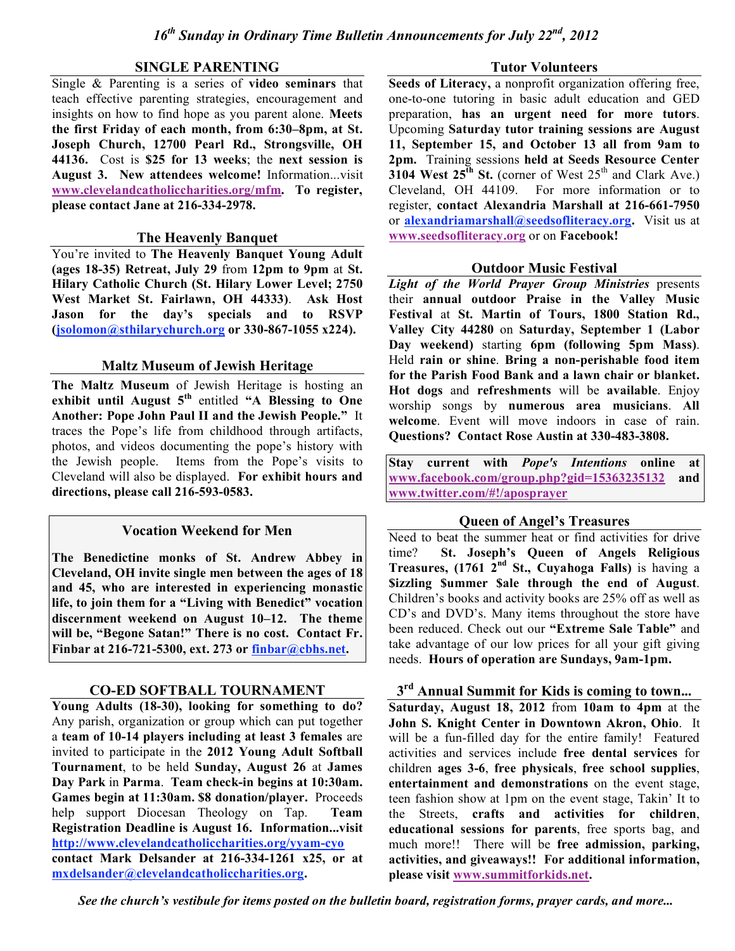## **SINGLE PARENTING**

Single & Parenting is a series of **video seminars** that teach effective parenting strategies, encouragement and insights on how to find hope as you parent alone. **Meets the first Friday of each month, from 6:30–8pm, at St. Joseph Church, 12700 Pearl Rd., Strongsville, OH 44136.** Cost is **\$25 for 13 weeks**; the **next session is August 3. New attendees welcome!** Information...visit **www.clevelandcatholiccharities.org/mfm. To register, please contact Jane at 216-334-2978.**

### **The Heavenly Banquet**

You're invited to **The Heavenly Banquet Young Adult (ages 18-35) Retreat, July 29** from **12pm to 9pm** at **St. Hilary Catholic Church (St. Hilary Lower Level; 2750 West Market St. Fairlawn, OH 44333)**. **Ask Host Jason for the day's specials and to RSVP (jsolomon@sthilarychurch.org or 330-867-1055 x224).**

## **Maltz Museum of Jewish Heritage**

**The Maltz Museum** of Jewish Heritage is hosting an **exhibit until August 5th** entitled **"A Blessing to One Another: Pope John Paul II and the Jewish People."** It traces the Pope's life from childhood through artifacts, photos, and videos documenting the pope's history with the Jewish people. Items from the Pope's visits to Cleveland will also be displayed. **For exhibit hours and directions, please call 216-593-0583.**

## **Vocation Weekend for Men**

**The Benedictine monks of St. Andrew Abbey in Cleveland, OH invite single men between the ages of 18 and 45, who are interested in experiencing monastic life, to join them for a "Living with Benedict" vocation discernment weekend on August 10–12. The theme will be, "Begone Satan!" There is no cost. Contact Fr. Finbar at 216-721-5300, ext. 273 or finbar@cbhs.net.**

# **CO-ED SOFTBALL TOURNAMENT**

**Young Adults (18-30), looking for something to do?** Any parish, organization or group which can put together a **team of 10-14 players including at least 3 females** are invited to participate in the **2012 Young Adult Softball Tournament**, to be held **Sunday, August 26** at **James Day Park** in **Parma**. **Team check-in begins at 10:30am. Games begin at 11:30am. \$8 donation/player.** Proceeds help support Diocesan Theology on Tap. **Team Registration Deadline is August 16. Information...visit http://www.clevelandcatholiccharities.org/yyam-cyo contact Mark Delsander at 216-334-1261 x25, or at mxdelsander@clevelandcatholiccharities.org.**

### **Tutor Volunteers**

**Seeds of Literacy,** a nonprofit organization offering free, one-to-one tutoring in basic adult education and GED preparation, **has an urgent need for more tutors**. Upcoming **Saturday tutor training sessions are August 11, September 15, and October 13 all from 9am to 2pm.** Training sessions **held at Seeds Resource Center 3104 West 25<sup>th</sup> St.** (corner of West 25<sup>th</sup> and Clark Ave.) Cleveland, OH 44109. For more information or to register, **contact Alexandria Marshall at 216-661-7950** or **alexandriamarshall@seedsofliteracy.org.** Visit us at **www.seedsofliteracy.org** or on **Facebook!**

## **Outdoor Music Festival**

*Light of the World Prayer Group Ministries* presents their **annual outdoor Praise in the Valley Music Festival** at **St. Martin of Tours, 1800 Station Rd., Valley City 44280** on **Saturday, September 1 (Labor Day weekend)** starting **6pm (following 5pm Mass)**. Held **rain or shine**. **Bring a non-perishable food item for the Parish Food Bank and a lawn chair or blanket. Hot dogs** and **refreshments** will be **available**. Enjoy worship songs by **numerous area musicians**. **All welcome**. Event will move indoors in case of rain. **Questions? Contact Rose Austin at 330-483-3808.**

**Stay current with** *Pope's Intentions* **online at www.facebook.com/group.php?gid=15363235132 and www.twitter.com/#!/aposprayer**

## **Queen of Angel's Treasures**

Need to beat the summer heat or find activities for drive time? **St. Joseph's Queen of Angels Religious Treasures, (1761 2nd St., Cuyahoga Falls)** is having a **\$izzling \$ummer \$ale through the end of August**. Children's books and activity books are 25% off as well as CD's and DVD's. Many items throughout the store have been reduced. Check out our **"Extreme Sale Table"** and take advantage of our low prices for all your gift giving needs. **Hours of operation are Sundays, 9am-1pm.**

# **3rd Annual Summit for Kids is coming to town...**

**Saturday, August 18, 2012** from **10am to 4pm** at the **John S. Knight Center in Downtown Akron, Ohio**. It will be a fun-filled day for the entire family! Featured activities and services include **free dental services** for children **ages 3-6**, **free physicals**, **free school supplies**, **entertainment and demonstrations** on the event stage, teen fashion show at 1pm on the event stage, Takin' It to the Streets, **crafts and activities for children**, **educational sessions for parents**, free sports bag, and much more!! There will be **free admission, parking, activities, and giveaways!! For additional information, please visit www.summitforkids.net.**

*See the church's vestibule for items posted on the bulletin board, registration forms, prayer cards, and more...*